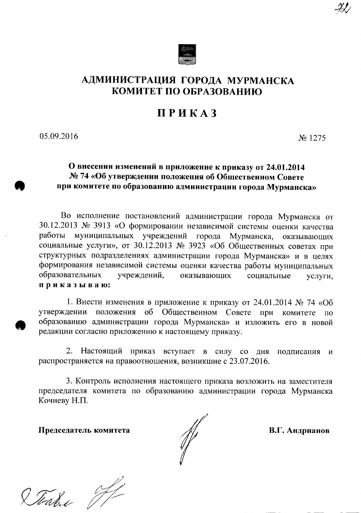

## АДМИНИСТРАЦИЯ ГОРОДА МУРМАНСКА КОМИТЕТ ПО ОБРАЗОВАНИЮ

# **ПРИКАЗ**

05.09.2016

No 1275

### О внесении изменений в приложение к приказу от 24.01.2014 № 74 «Об утверждении положения об Общественном Совете при комитете по образованию администрации города Мурманска»

Во исполнение постановлений администрации города Мурманска от 30.12.2013 № 3913 «О формировании независимой системы оценки качества работы муниципальных учреждений города Мурманска, оказывающих социальные услуги», от 30.12.2013 № 3923 «Об Общественных советах при структурных подразделениях администрации города Мурманска» и в целях формирования независимой системы оценки качества работы муниципальных образовательных учреждений, оказывающих социальные услуги, приказываю:

1. Внести изменения в приложение к приказу от 24.01.2014 № 74 «Об положения об Общественном Совете при комитете утверждении  $\overline{10}$ образованию администрации города Мурманска» и изложить его в новой редакции согласно приложению к настоящему приказу.

2. Настоящий приказ вступает в силу со дня подписания и распространяется на правоотношения, возникшие с 23.07.2016.

3. Контроль исполнения настоящего приказа возложить на заместителя председателя комитета по образованию администрации города Мурманска Кочневу Н.П.

Председатель комитета

В.Г. Андрианов

Stabu 1/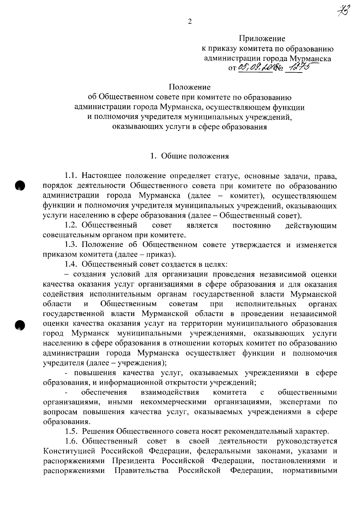Приложение к приказу комитета по образованию администрации города Мурманска OT 05, 09, LOCKS 1275

#### Положение

об Общественном совете при комитете по образованию администрации города Мурманска, осуществляющем функции и полномочия учредителя муниципальных учреждений. оказывающих услуги в сфере образования

#### 1. Общие положения

1.1. Настоящее положение определяет статус, основные задачи, права, порядок деятельности Общественного совета при комитете по образованию администрации города Мурманска (далее - комитет), осуществляющем функции и полномочия учредителя муниципальных учреждений, оказывающих услуги населению в сфере образования (далее - Общественный совет).

1.2. Общественный совет является постоянно действующим совещательным органом при комитете.

1.3. Положение об Общественном совете утверждается и изменяется приказом комитета (далее - приказ).

1.4. Общественный совет создается в целях:

- создания условий для организации проведения независимой оценки качества оказания услуг организациями в сфере образования и для оказания содействия исполнительным органам государственной власти Мурманской области  $\overline{M}$ Общественным советам исполнительных при органах государственной власти Мурманской области в проведении независимой оценки качества оказания услуг на территории муниципального образования город Мурманск муниципальными учреждениями, оказывающих услуги населению в сфере образования в отношении которых комитет по образованию администрации города Мурманска осуществляет функции и полномочия учредителя (далее - учреждения);

- повышения качества услуг, оказываемых учреждениями в сфере образования, и информационной открытости учреждений;

обеспечения взаимодействия комитета общественными  $\mathbf{C}$ организациями, иными некоммерческими организациями, экспертами  $\overline{a}$ вопросам повышения качества услуг, оказываемых учреждениями в сфере образования.

1.5. Решения Общественного совета носят рекомендательный характер.

1.6. Общественный деятельности совет  $\, {\bf B}$ своей руководствуется Конституцией Российской Федерации, федеральными законами, указами и распоряжениями Президента Российской Федерации, постановлениями и распоряжениями Правительства Российской Федерации. нормативными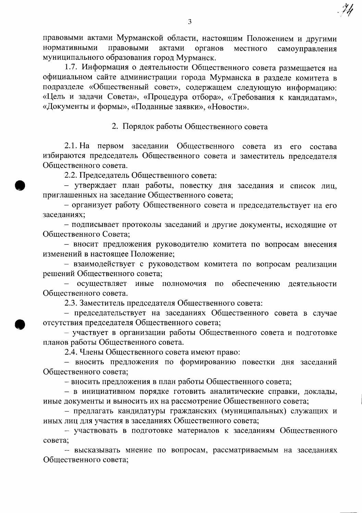правовыми актами Мурманской области, настоящим Положением и другими нормативными правовыми актами органов местного самоуправления муниципального образования город Мурманск.

1.7. Информация о деятельности Общественного совета размещается на официальном сайте администрации города Мурманска в разделе комитета в подразделе «Общественный совет», содержащем следующую информацию: «Цель и задачи Совета», «Процедура отбора», «Требования к кандидатам», «Документы и формы», «Поданные заявки», «Новости».

2. Порядок работы Общественного совета

2.1. На первом заседании Общественного совета из его состава избираются председатель Общественного совета и заместитель председателя Общественного совета.

2.2. Председатель Общественного совета:

- утверждает план работы, повестку дня заседания и список лиц, приглашенных на заседание Общественного совета;

- организует работу Общественного совета и председательствует на его заседаниях;

- подписывает протоколы заседаний и другие документы, исходящие от Общественного Совета;

- вносит предложения руководителю комитета по вопросам внесения изменений в настоящее Положение;

- взаимодействует с руководством комитета по вопросам реализации решений Общественного совета;

осуществляет иные полномочия по обеспечению деятельности Общественного совета.

2.3. Заместитель председателя Общественного совета:

- председательствует на заседаниях Общественного совета в случае отсутствия председателя Общественного совета;

- участвует в организации работы Общественного совета и подготовке планов работы Общественного совета.

2.4. Члены Общественного совета имеют право:

- вносить предложения по формированию повестки дня заседаний Общественного совета;

- вносить предложения в план работы Общественного совета;

- в инициативном порядке готовить аналитические справки, доклады, иные документы и выносить их на рассмотрение Общественного совета;

– предлагать кандидатуры гражданских (муниципальных) служащих и иных лиц для участия в заседаниях Общественного совета;

- участвовать в подготовке материалов к заседаниям Общественного совета;

- высказывать мнение по вопросам, рассматриваемым на заседаниях Общественного совета;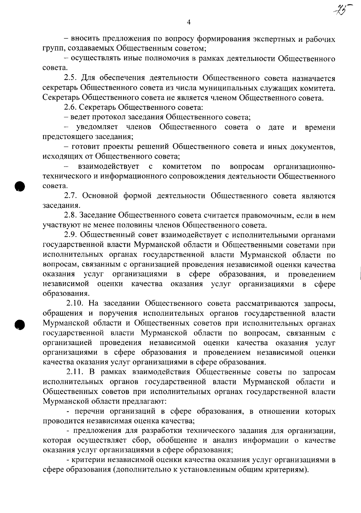- вносить предложения по вопросу формирования экспертных и рабочих групп, создаваемых Общественным советом;

- осуществлять иные полномочия в рамках деятельности Общественного совета.

2.5. Для обеспечения деятельности Общественного совета назначается секретарь Общественного совета из числа муниципальных служащих комитета. Секретарь Общественного совета не является членом Общественного совета.

2.6. Секретарь Общественного совета:

- ведет протокол заседания Общественного совета;

- уведомляет членов Общественного совета о дате и времени предстоящего заседания;

- готовит проекты решений Общественного совета и иных документов, исходящих от Общественного совета;

взаимодействует организационно- $\mathbf{c}$ комитетом по вопросам технического и информационного сопровождения деятельности Общественного совета.

2.7. Основной формой деятельности Общественного совета являются заседания.

2.8. Заседание Общественного совета считается правомочным, если в нем участвуют не менее половины членов Общественного совета.

2.9. Общественный совет взаимодействует с исполнительными органами государственной власти Мурманской области и Общественными советами при исполнительных органах государственной власти Мурманской области по вопросам, связанным с организацией проведения независимой оценки качества услуг организациями  $\mathbf{B}$  copepe оказания образования,  $\mathbf{H}$ проведением независимой оценки качества оказания услуг организациями в сфере образования.

2.10. На заседании Общественного совета рассматриваются запросы, обращения и поручения исполнительных органов государственной власти Мурманской области и Общественных советов при исполнительных органах государственной власти Мурманской области по вопросам, связанным с организацией проведения независимой оценки качества оказания услуг организациями в сфере образования и проведением независимой оценки качества оказания услуг организациями в сфере образования.

2.11. В рамках взаимодействия Общественные советы по запросам исполнительных органов государственной власти Мурманской области и Общественных советов при исполнительных органах государственной власти Мурманской области предлагают:

- перечни организаций в сфере образования, в отношении которых проводится независимая оценка качества;

- предложения для разработки технического задания для организации, которая осуществляет сбор, обобщение и анализ информации о качестве оказания услуг организациями в сфере образования;

- критерии независимой оценки качества оказания услуг организациями в сфере образования (дополнительно к установленным общим критериям).